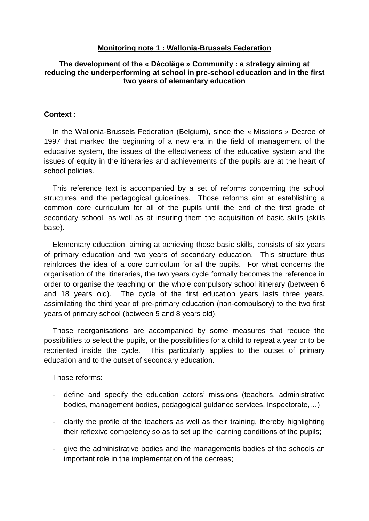#### **Monitoring note 1 : Wallonia-Brussels Federation**

#### **The development of the « Décolâge » Community : a strategy aiming at reducing the underperforming at school in pre-school education and in the first two years of elementary education**

#### **Context :**

In the Wallonia-Brussels Federation (Belgium), since the « Missions » Decree of 1997 that marked the beginning of a new era in the field of management of the educative system, the issues of the effectiveness of the educative system and the issues of equity in the itineraries and achievements of the pupils are at the heart of school policies.

This reference text is accompanied by a set of reforms concerning the school structures and the pedagogical guidelines. Those reforms aim at establishing a common core curriculum for all of the pupils until the end of the first grade of secondary school, as well as at insuring them the acquisition of basic skills (skills base).

Elementary education, aiming at achieving those basic skills*,* consists of six years of primary education and two years of secondary education. This structure thus reinforces the idea of a core curriculum for all the pupils. For what concerns the organisation of the itineraries, the two years cycle formally becomes the reference in order to organise the teaching on the whole compulsory school itinerary (between 6 and 18 years old). The cycle of the first education years lasts three years, assimilating the third year of pre-primary education (non-compulsory) to the two first years of primary school (between 5 and 8 years old).

Those reorganisations are accompanied by some measures that reduce the possibilities to select the pupils, or the possibilities for a child to repeat a year or to be reoriented inside the cycle. This particularly applies to the outset of primary education and to the outset of secondary education.

Those reforms:

- define and specify the education actors' missions (teachers, administrative bodies, management bodies, pedagogical guidance services, inspectorate,…)
- clarify the profile of the teachers as well as their training, thereby highlighting their reflexive competency so as to set up the learning conditions of the pupils;
- give the administrative bodies and the managements bodies of the schools an important role in the implementation of the decrees;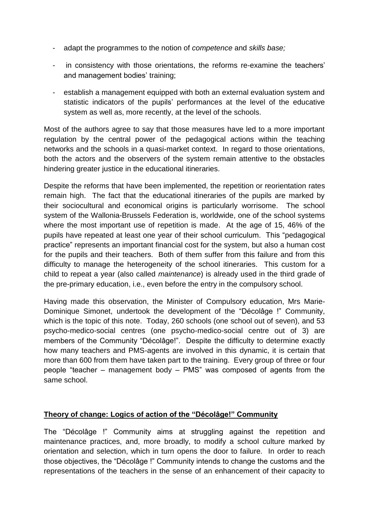- adapt the programmes to the notion of *competence* and *skills base;*
- in consistency with those orientations, the reforms re-examine the teachers' and management bodies' training;
- establish a management equipped with both an external evaluation system and statistic indicators of the pupils' performances at the level of the educative system as well as, more recently, at the level of the schools.

Most of the authors agree to say that those measures have led to a more important regulation by the central power of the pedagogical actions within the teaching networks and the schools in a quasi-market context. In regard to those orientations, both the actors and the observers of the system remain attentive to the obstacles hindering greater justice in the educational itineraries.

Despite the reforms that have been implemented, the repetition or reorientation rates remain high. The fact that the educational itineraries of the pupils are marked by their sociocultural and economical origins is particularly worrisome. The school system of the Wallonia-Brussels Federation is, worldwide, one of the school systems where the most important use of repetition is made. At the age of 15, 46% of the pupils have repeated at least one year of their school curriculum. This "pedagogical practice" represents an important financial cost for the system, but also a human cost for the pupils and their teachers. Both of them suffer from this failure and from this difficulty to manage the heterogeneity of the school itineraries. This custom for a child to repeat a year (also called *maintenance*) is already used in the third grade of the pre-primary education, i.e., even before the entry in the compulsory school.

Having made this observation, the Minister of Compulsory education, Mrs Marie-Dominique Simonet, undertook the development of the "Décolâge !" Community, which is the topic of this note. Today, 260 schools (one school out of seven), and 53 psycho-medico-social centres (one psycho-medico-social centre out of 3) are members of the Community "Décolâge!". Despite the difficulty to determine exactly how many teachers and PMS-agents are involved in this dynamic, it is certain that more than 600 from them have taken part to the training. Every group of three or four people "teacher – management body – PMS" was composed of agents from the same school.

## **Theory of change: Logics of action of the "Décolâge!" Community**

The "Décolâge !" Community aims at struggling against the repetition and maintenance practices, and, more broadly, to modify a school culture marked by orientation and selection, which in turn opens the door to failure. In order to reach those objectives, the "Décolâge !" Community intends to change the customs and the representations of the teachers in the sense of an enhancement of their capacity to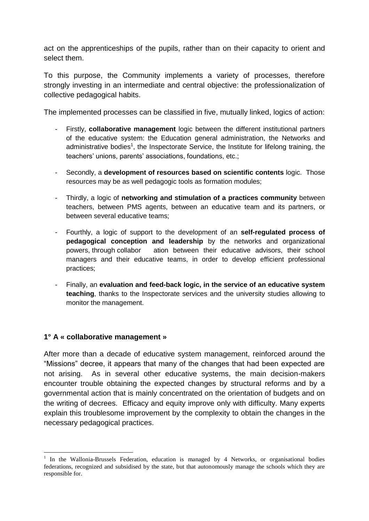act on the apprenticeships of the pupils, rather than on their capacity to orient and select them.

To this purpose, the Community implements a variety of processes, therefore strongly investing in an intermediate and central objective: the professionalization of collective pedagogical habits.

The implemented processes can be classified in five, mutually linked, logics of action:

- Firstly, **collaborative management** logic between the different institutional partners of the educative system: the Education general administration, the Networks and administrative bodies<sup>1</sup>, the Inspectorate Service, the Institute for lifelong training, the teachers' unions, parents' associations, foundations, etc.;
- Secondly, a **development of resources based on scientific contents** logic. Those resources may be as well pedagogic tools as formation modules;
- Thirdly, a logic of **networking and stimulation of a practices community** between teachers, between PMS agents, between an educative team and its partners, or between several educative teams;
- Fourthly, a logic of support to the development of an **self-regulated process of pedagogical conception and leadership** by the networks and organizational powers, through collabor ation between their educative advisors, their school managers and their educative teams, in order to develop efficient professional practices;
- Finally, an **evaluation and feed-back logic, in the service of an educative system teaching**, thanks to the Inspectorate services and the university studies allowing to monitor the management.

#### **1° A « collaborative management »**

1

After more than a decade of educative system management, reinforced around the "Missions" decree, it appears that many of the changes that had been expected are not arising. As in several other educative systems, the main decision-makers encounter trouble obtaining the expected changes by structural reforms and by a governmental action that is mainly concentrated on the orientation of budgets and on the writing of decrees. Efficacy and equity improve only with difficulty. Many experts explain this troublesome improvement by the complexity to obtain the changes in the necessary pedagogical practices.

<sup>&</sup>lt;sup>1</sup> In the Wallonia-Brussels Federation, education is managed by 4 Networks, or organisational bodies federations, recognized and subsidised by the state, but that autonomously manage the schools which they are responsible for.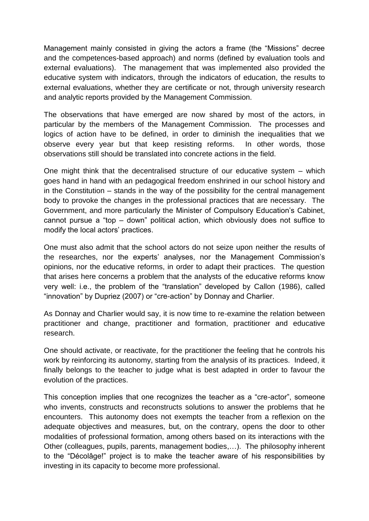Management mainly consisted in giving the actors a frame (the "Missions" decree and the competences-based approach) and norms (defined by evaluation tools and external evaluations). The management that was implemented also provided the educative system with indicators, through the indicators of education, the results to external evaluations, whether they are certificate or not, through university research and analytic reports provided by the Management Commission.

The observations that have emerged are now shared by most of the actors, in particular by the members of the Management Commission. The processes and logics of action have to be defined, in order to diminish the inequalities that we observe every year but that keep resisting reforms. In other words, those observations still should be translated into concrete actions in the field.

One might think that the decentralised structure of our educative system – which goes hand in hand with an pedagogical freedom enshrined in our school history and in the Constitution – stands in the way of the possibility for the central management body to provoke the changes in the professional practices that are necessary. The Government, and more particularly the Minister of Compulsory Education's Cabinet, cannot pursue a "top – down" political action, which obviously does not suffice to modify the local actors' practices.

One must also admit that the school actors do not seize upon neither the results of the researches, nor the experts' analyses, nor the Management Commission's opinions, nor the educative reforms, in order to adapt their practices. The question that arises here concerns a problem that the analysts of the educative reforms know very well: i.e., the problem of the "translation" developed by Callon (1986), called "innovation" by Dupriez (2007) or "cre-action" by Donnay and Charlier.

As Donnay and Charlier would say, it is now time to re-examine the relation between practitioner and change, practitioner and formation, practitioner and educative research.

One should activate, or reactivate, for the practitioner the feeling that he controls his work by reinforcing its autonomy, starting from the analysis of its practices. Indeed, it finally belongs to the teacher to judge what is best adapted in order to favour the evolution of the practices.

This conception implies that one recognizes the teacher as a "cre-actor", someone who invents, constructs and reconstructs solutions to answer the problems that he encounters. This autonomy does not exempts the teacher from a reflexion on the adequate objectives and measures, but, on the contrary, opens the door to other modalities of professional formation, among others based on its interactions with the Other (colleagues, pupils, parents, management bodies,…). The philosophy inherent to the "Décolâge!" project is to make the teacher aware of his responsibilities by investing in its capacity to become more professional.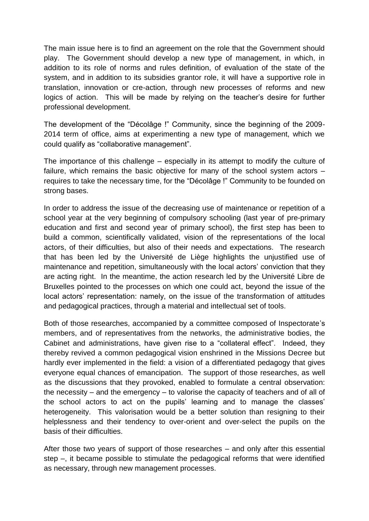The main issue here is to find an agreement on the role that the Government should play. The Government should develop a new type of management, in which, in addition to its role of norms and rules definition, of evaluation of the state of the system, and in addition to its subsidies grantor role, it will have a supportive role in translation, innovation or cre-action, through new processes of reforms and new logics of action. This will be made by relying on the teacher's desire for further professional development.

The development of the "Décolâge !" Community, since the beginning of the 2009- 2014 term of office, aims at experimenting a new type of management, which we could qualify as "collaborative management".

The importance of this challenge – especially in its attempt to modify the culture of failure, which remains the basic objective for many of the school system actors – requires to take the necessary time, for the "Décolâge !" Community to be founded on strong bases.

In order to address the issue of the decreasing use of maintenance or repetition of a school year at the very beginning of compulsory schooling (last year of pre-primary education and first and second year of primary school), the first step has been to build a common, scientifically validated, vision of the representations of the local actors, of their difficulties, but also of their needs and expectations. The research that has been led by the Université de Liège highlights the unjustified use of maintenance and repetition, simultaneously with the local actors' conviction that they are acting right. In the meantime, the action research led by the Université Libre de Bruxelles pointed to the processes on which one could act, beyond the issue of the local actors' representation: namely, on the issue of the transformation of attitudes and pedagogical practices, through a material and intellectual set of tools.

Both of those researches, accompanied by a committee composed of Inspectorate's members, and of representatives from the networks, the administrative bodies, the Cabinet and administrations, have given rise to a "collateral effect". Indeed, they thereby revived a common pedagogical vision enshrined in the Missions Decree but hardly ever implemented in the field: a vision of a differentiated pedagogy that gives everyone equal chances of emancipation. The support of those researches, as well as the discussions that they provoked, enabled to formulate a central observation: the necessity – and the emergency – to valorise the capacity of teachers and of all of the school actors to act on the pupils' learning and to manage the classes' heterogeneity. This valorisation would be a better solution than resigning to their helplessness and their tendency to over-orient and over-select the pupils on the basis of their difficulties.

After those two years of support of those researches – and only after this essential step –, it became possible to stimulate the pedagogical reforms that were identified as necessary, through new management processes.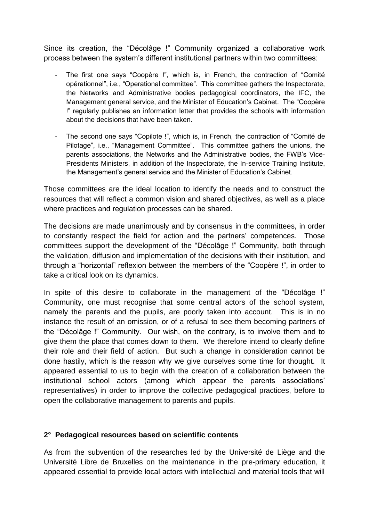Since its creation, the "Décolâge !" Community organized a collaborative work process between the system's different institutional partners within two committees:

- The first one says "Coopère !", which is, in French, the contraction of "Comité opérationnel", i.e., "Operational committee". This committee gathers the Inspectorate, the Networks and Administrative bodies pedagogical coordinators, the IFC, the Management general service, and the Minister of Education's Cabinet. The "Coopère !" regularly publishes an information letter that provides the schools with information about the decisions that have been taken.
- The second one says "Copilote !", which is, in French, the contraction of "Comité de Pilotage", i.e., "Management Committee". This committee gathers the unions, the parents associations, the Networks and the Administrative bodies, the FWB's Vice-Presidents Ministers, in addition of the Inspectorate, the In-service Training Institute, the Management's general service and the Minister of Education's Cabinet.

Those committees are the ideal location to identify the needs and to construct the resources that will reflect a common vision and shared objectives, as well as a place where practices and regulation processes can be shared.

The decisions are made unanimously and by consensus in the committees, in order to constantly respect the field for action and the partners' competences. Those committees support the development of the "Décolâge !" Community, both through the validation, diffusion and implementation of the decisions with their institution, and through a "horizontal" reflexion between the members of the "Coopère !", in order to take a critical look on its dynamics.

In spite of this desire to collaborate in the management of the "Décolâge !" Community, one must recognise that some central actors of the school system, namely the parents and the pupils, are poorly taken into account. This is in no instance the result of an omission, or of a refusal to see them becoming partners of the "Décolâge !" Community. Our wish, on the contrary, is to involve them and to give them the place that comes down to them. We therefore intend to clearly define their role and their field of action. But such a change in consideration cannot be done hastily, which is the reason why we give ourselves some time for thought. It appeared essential to us to begin with the creation of a collaboration between the institutional school actors (among which appear the parents associations' representatives) in order to improve the collective pedagogical practices, before to open the collaborative management to parents and pupils.

## **2° Pedagogical resources based on scientific contents**

As from the subvention of the researches led by the Université de Liège and the Université Libre de Bruxelles on the maintenance in the pre-primary education, it appeared essential to provide local actors with intellectual and material tools that will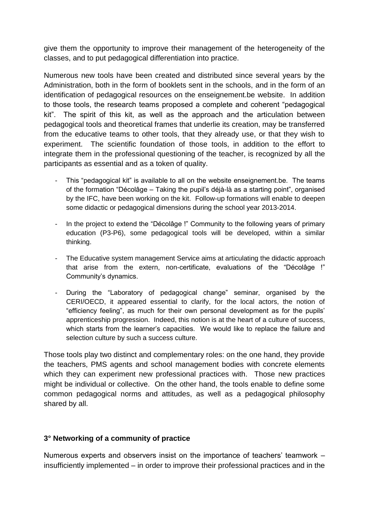give them the opportunity to improve their management of the heterogeneity of the classes, and to put pedagogical differentiation into practice.

Numerous new tools have been created and distributed since several years by the Administration, both in the form of booklets sent in the schools, and in the form of an identification of pedagogical resources on the enseignement.be website. In addition to those tools, the research teams proposed a complete and coherent "pedagogical kit". The spirit of this kit, as well as the approach and the articulation between pedagogical tools and theoretical frames that underlie its creation, may be transferred from the educative teams to other tools, that they already use, or that they wish to experiment. The scientific foundation of those tools, in addition to the effort to integrate them in the professional questioning of the teacher, is recognized by all the participants as essential and as a token of quality.

- This "pedagogical kit" is available to all on the website enseignement.be. The teams of the formation "Décolâge – Taking the pupil's déjà-là as a starting point", organised by the IFC, have been working on the kit. Follow-up formations will enable to deepen some didactic or pedagogical dimensions during the school year 2013-2014.
- In the project to extend the "Décolâge !" Community to the following years of primary education (P3-P6), some pedagogical tools will be developed, within a similar thinking.
- The Educative system management Service aims at articulating the didactic approach that arise from the extern, non-certificate, evaluations of the "Décolâge !" Community's dynamics.
- During the "Laboratory of pedagogical change" seminar, organised by the CERI/OECD, it appeared essential to clarify, for the local actors, the notion of "efficiency feeling", as much for their own personal development as for the pupils' apprenticeship progression. Indeed, this notion is at the heart of a culture of success, which starts from the learner's capacities. We would like to replace the failure and selection culture by such a success culture.

Those tools play two distinct and complementary roles: on the one hand, they provide the teachers, PMS agents and school management bodies with concrete elements which they can experiment new professional practices with. Those new practices might be individual or collective. On the other hand, the tools enable to define some common pedagogical norms and attitudes, as well as a pedagogical philosophy shared by all.

## **3° Networking of a community of practice**

Numerous experts and observers insist on the importance of teachers' teamwork – insufficiently implemented – in order to improve their professional practices and in the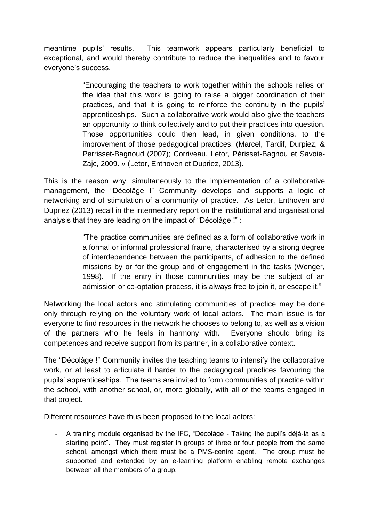meantime pupils' results. This teamwork appears particularly beneficial to exceptional, and would thereby contribute to reduce the inequalities and to favour everyone's success.

> "Encouraging the teachers to work together within the schools relies on the idea that this work is going to raise a bigger coordination of their practices, and that it is going to reinforce the continuity in the pupils' apprenticeships. Such a collaborative work would also give the teachers an opportunity to think collectively and to put their practices into question. Those opportunities could then lead, in given conditions, to the improvement of those pedagogical practices. (Marcel, Tardif, Durpiez, & Perrisset-Bagnoud (2007); Corriveau, Letor, Périsset-Bagnou et Savoie-Zajc, 2009. » (Letor, Enthoven et Dupriez, 2013).

This is the reason why, simultaneously to the implementation of a collaborative management, the "Décolâge !" Community develops and supports a logic of networking and of stimulation of a community of practice. As Letor, Enthoven and Dupriez (2013) recall in the intermediary report on the institutional and organisational analysis that they are leading on the impact of "Décolâge !" :

> "The practice communities are defined as a form of collaborative work in a formal or informal professional frame, characterised by a strong degree of interdependence between the participants, of adhesion to the defined missions by or for the group and of engagement in the tasks (Wenger, 1998). If the entry in those communities may be the subject of an admission or co-optation process, it is always free to join it, or escape it."

Networking the local actors and stimulating communities of practice may be done only through relying on the voluntary work of local actors. The main issue is for everyone to find resources in the network he chooses to belong to, as well as a vision of the partners who he feels in harmony with. Everyone should bring its competences and receive support from its partner, in a collaborative context.

The "Décolâge !" Community invites the teaching teams to intensify the collaborative work, or at least to articulate it harder to the pedagogical practices favouring the pupils' apprenticeships. The teams are invited to form communities of practice within the school, with another school, or, more globally, with all of the teams engaged in that project.

Different resources have thus been proposed to the local actors:

- A training module organised by the IFC, "Décolâge - Taking the pupil's déjà-là as a starting point". They must register in groups of three or four people from the same school, amongst which there must be a PMS-centre agent. The group must be supported and extended by an e-learning platform enabling remote exchanges between all the members of a group.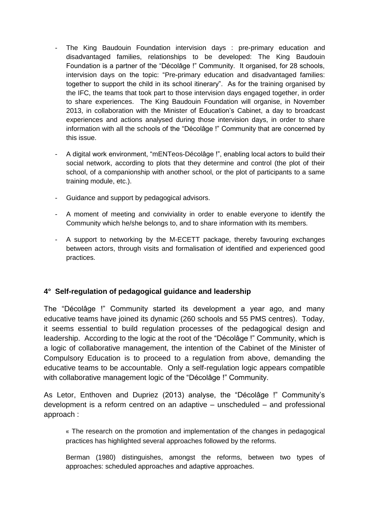- The King Baudouin Foundation intervision days : pre-primary education and disadvantaged families, relationships to be developed: The King Baudouin Foundation is a partner of the "Décolâge !" Community. It organised, for 28 schools, intervision days on the topic: "Pre-primary education and disadvantaged families: together to support the child in its school itinerary". As for the training organised by the IFC, the teams that took part to those intervision days engaged together, in order to share experiences. The King Baudouin Foundation will organise, in November 2013, in collaboration with the Minister of Education's Cabinet, a day to broadcast experiences and actions analysed during those intervision days, in order to share information with all the schools of the "Décolâge !" Community that are concerned by this issue.
- A digital work environment, "mENTeos-Décolâge !", enabling local actors to build their social network, according to plots that they determine and control (the plot of their school, of a companionship with another school, or the plot of participants to a same training module, etc.).
- Guidance and support by pedagogical advisors.
- A moment of meeting and conviviality in order to enable everyone to identify the Community which he/she belongs to, and to share information with its members.
- A support to networking by the M-ECETT package, thereby favouring exchanges between actors, through visits and formalisation of identified and experienced good practices.

## **4° Self-regulation of pedagogical guidance and leadership**

The "Décolâge !" Community started its development a year ago, and many educative teams have joined its dynamic (260 schools and 55 PMS centres). Today, it seems essential to build regulation processes of the pedagogical design and leadership. According to the logic at the root of the "Décolâge !" Community, which is a logic of collaborative management, the intention of the Cabinet of the Minister of Compulsory Education is to proceed to a regulation from above, demanding the educative teams to be accountable. Only a self-regulation logic appears compatible with collaborative management logic of the "Décolâge !" Community.

As Letor, Enthoven and Dupriez (2013) analyse, the "Décolâge !" Community's development is a reform centred on an adaptive – unscheduled – and professional approach :

« The research on the promotion and implementation of the changes in pedagogical practices has highlighted several approaches followed by the reforms.

Berman (1980) distinguishes, amongst the reforms, between two types of approaches: scheduled approaches and adaptive approaches.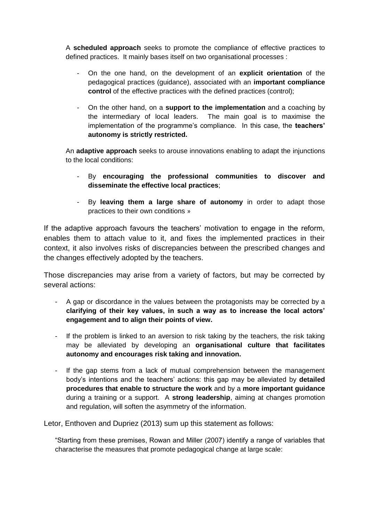A **scheduled approach** seeks to promote the compliance of effective practices to defined practices. It mainly bases itself on two organisational processes :

- On the one hand, on the development of an **explicit orientation** of the pedagogical practices (guidance), associated with an **important compliance control** of the effective practices with the defined practices (control);
- On the other hand, on a **support to the implementation** and a coaching by the intermediary of local leaders. The main goal is to maximise the implementation of the programme's compliance. In this case, the **teachers' autonomy is strictly restricted.**

An **adaptive approach** seeks to arouse innovations enabling to adapt the injunctions to the local conditions:

- By **encouraging the professional communities to discover and disseminate the effective local practices**;
- By **leaving them a large share of autonomy** in order to adapt those practices to their own conditions »

If the adaptive approach favours the teachers' motivation to engage in the reform, enables them to attach value to it, and fixes the implemented practices in their context, it also involves risks of discrepancies between the prescribed changes and the changes effectively adopted by the teachers.

Those discrepancies may arise from a variety of factors, but may be corrected by several actions:

- A gap or discordance in the values between the protagonists may be corrected by a **clarifying of their key values, in such a way as to increase the local actors' engagement and to align their points of view.**
- If the problem is linked to an aversion to risk taking by the teachers, the risk taking may be alleviated by developing an **organisational culture that facilitates autonomy and encourages risk taking and innovation.**
- If the gap stems from a lack of mutual comprehension between the management body's intentions and the teachers' actions: this gap may be alleviated by **detailed procedures that enable to structure the work** and by a **more important guidance** during a training or a support. A **strong leadership**, aiming at changes promotion and regulation, will soften the asymmetry of the information.

Letor, Enthoven and Dupriez (2013) sum up this statement as follows:

"Starting from these premises, Rowan and Miller (2007) identify a range of variables that characterise the measures that promote pedagogical change at large scale: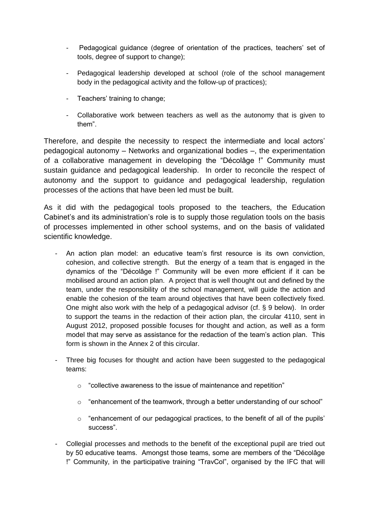- Pedagogical guidance (degree of orientation of the practices, teachers' set of tools, degree of support to change);
- Pedagogical leadership developed at school (role of the school management body in the pedagogical activity and the follow-up of practices);
- Teachers' training to change;
- Collaborative work between teachers as well as the autonomy that is given to them".

Therefore, and despite the necessity to respect the intermediate and local actors' pedagogical autonomy – Networks and organizational bodies –, the experimentation of a collaborative management in developing the "Décolâge !" Community must sustain guidance and pedagogical leadership. In order to reconcile the respect of autonomy and the support to guidance and pedagogical leadership, regulation processes of the actions that have been led must be built.

As it did with the pedagogical tools proposed to the teachers, the Education Cabinet's and its administration's role is to supply those regulation tools on the basis of processes implemented in other school systems, and on the basis of validated scientific knowledge.

- An action plan model: an educative team's first resource is its own conviction, cohesion, and collective strength. But the energy of a team that is engaged in the dynamics of the "Décolâge !" Community will be even more efficient if it can be mobilised around an action plan. A project that is well thought out and defined by the team, under the responsibility of the school management, will guide the action and enable the cohesion of the team around objectives that have been collectively fixed. One might also work with the help of a pedagogical advisor (cf. § 9 below). In order to support the teams in the redaction of their action plan, the circular 4110, sent in August 2012, proposed possible focuses for thought and action, as well as a form model that may serve as assistance for the redaction of the team's action plan. This form is shown in the Annex 2 of this circular.
- Three big focuses for thought and action have been suggested to the pedagogical teams:
	- o "collective awareness to the issue of maintenance and repetition"
	- o "enhancement of the teamwork, through a better understanding of our school"
	- $\circ$  "enhancement of our pedagogical practices, to the benefit of all of the pupils' success".
- Collegial processes and methods to the benefit of the exceptional pupil are tried out by 50 educative teams. Amongst those teams, some are members of the "Décolâge !" Community, in the participative training "TravCol", organised by the IFC that will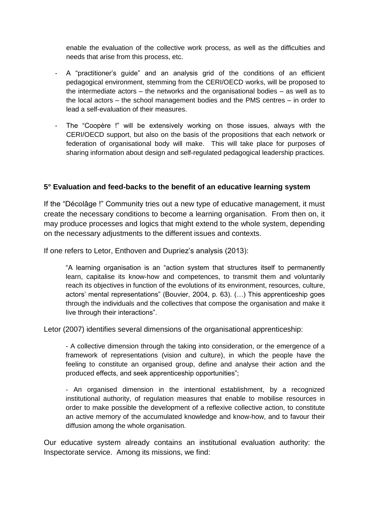enable the evaluation of the collective work process, as well as the difficulties and needs that arise from this process, etc.

- A "practitioner's guide" and an analysis grid of the conditions of an efficient pedagogical environment, stemming from the CERI/OECD works, will be proposed to the intermediate actors – the networks and the organisational bodies – as well as to the local actors – the school management bodies and the PMS centres – in order to lead a self-evaluation of their measures.
- The "Coopère !" will be extensively working on those issues, always with the CERI/OECD support, but also on the basis of the propositions that each network or federation of organisational body will make. This will take place for purposes of sharing information about design and self-regulated pedagogical leadership practices.

### **5° Evaluation and feed-backs to the benefit of an educative learning system**

If the "Décolâge !" Community tries out a new type of educative management, it must create the necessary conditions to become a learning organisation. From then on, it may produce processes and logics that might extend to the whole system, depending on the necessary adjustments to the different issues and contexts.

If one refers to Letor, Enthoven and Dupriez's analysis (2013):

"A learning organisation is an "action system that structures itself to permanently learn, capitalise its know-how and competences, to transmit them and voluntarily reach its objectives in function of the evolutions of its environment, resources, culture, actors' mental representations" (Bouvier, 2004, p. 63). (…) This apprenticeship goes through the individuals and the collectives that compose the organisation and make it live through their interactions".

Letor (2007) identifies several dimensions of the organisational apprenticeship:

- A collective dimension through the taking into consideration, or the emergence of a framework of representations (vision and culture), in which the people have the feeling to constitute an organised group, define and analyse their action and the produced effects, and seek apprenticeship opportunities";

- An organised dimension in the intentional establishment, by a recognized institutional authority, of regulation measures that enable to mobilise resources in order to make possible the development of a reflexive collective action, to constitute an active memory of the accumulated knowledge and know-how, and to favour their diffusion among the whole organisation.

Our educative system already contains an institutional evaluation authority: the Inspectorate service. Among its missions, we find: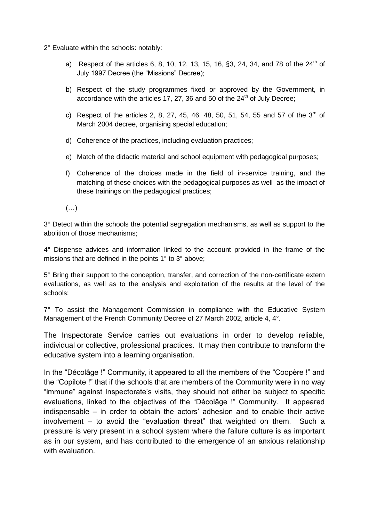- 2° Evaluate within the schools: notably:
	- a) Respect of the articles 6, 8, 10, 12, 13, 15, 16, §3, 24, 34, and 78 of the  $24<sup>th</sup>$  of July 1997 Decree (the "Missions" Decree);
	- b) Respect of the study programmes fixed or approved by the Government, in accordance with the articles 17, 27, 36 and 50 of the  $24<sup>th</sup>$  of July Decree;
	- c) Respect of the articles 2, 8, 27, 45, 46, 48, 50, 51, 54, 55 and 57 of the  $3^{rd}$  of March 2004 decree, organising special education;
	- d) Coherence of the practices, including evaluation practices;
	- e) Match of the didactic material and school equipment with pedagogical purposes;
	- f) Coherence of the choices made in the field of in-service training, and the matching of these choices with the pedagogical purposes as well as the impact of these trainings on the pedagogical practices;
	- (…)

3° Detect within the schools the potential segregation mechanisms, as well as support to the abolition of those mechanisms;

4° Dispense advices and information linked to the account provided in the frame of the missions that are defined in the points 1° to 3° above;

5° Bring their support to the conception, transfer, and correction of the non-certificate extern evaluations, as well as to the analysis and exploitation of the results at the level of the schools;

7° To assist the Management Commission in compliance with the Educative System Management of the French Community Decree of 27 March 2002, article 4, 4°.

The Inspectorate Service carries out evaluations in order to develop reliable, individual or collective, professional practices. It may then contribute to transform the educative system into a learning organisation.

In the "Décolâge !" Community, it appeared to all the members of the "Coopère !" and the "Copilote !" that if the schools that are members of the Community were in no way "immune" against Inspectorate's visits, they should not either be subject to specific evaluations, linked to the objectives of the "Décolâge !" Community. It appeared indispensable – in order to obtain the actors' adhesion and to enable their active involvement – to avoid the "evaluation threat" that weighted on them. Such a pressure is very present in a school system where the failure culture is as important as in our system, and has contributed to the emergence of an anxious relationship with evaluation.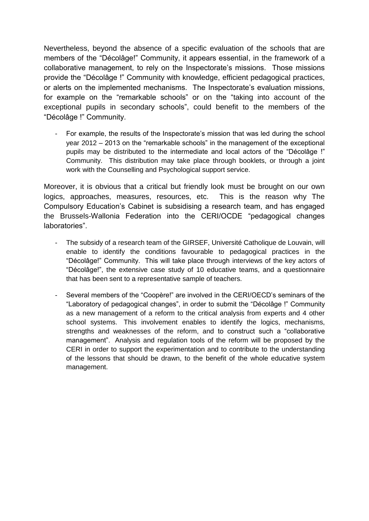Nevertheless, beyond the absence of a specific evaluation of the schools that are members of the "Décolâge!" Community, it appears essential, in the framework of a collaborative management, to rely on the Inspectorate's missions. Those missions provide the "Décolâge !" Community with knowledge, efficient pedagogical practices, or alerts on the implemented mechanisms. The Inspectorate's evaluation missions, for example on the "remarkable schools" or on the "taking into account of the exceptional pupils in secondary schools", could benefit to the members of the "Décolâge !" Community.

- For example, the results of the Inspectorate's mission that was led during the school year 2012 – 2013 on the "remarkable schools" in the management of the exceptional pupils may be distributed to the intermediate and local actors of the "Décolâge !" Community. This distribution may take place through booklets, or through a joint work with the Counselling and Psychological support service.

Moreover, it is obvious that a critical but friendly look must be brought on our own logics, approaches, measures, resources, etc. This is the reason why The Compulsory Education's Cabinet is subsidising a research team, and has engaged the Brussels-Wallonia Federation into the CERI/OCDE "pedagogical changes laboratories".

- The subsidy of a research team of the GIRSEF. Université Catholique de Louvain, will enable to identify the conditions favourable to pedagogical practices in the "Décolâge!" Community. This will take place through interviews of the key actors of "Décolâge!", the extensive case study of 10 educative teams, and a questionnaire that has been sent to a representative sample of teachers.
- Several members of the "Coopère!" are involved in the CERI/OECD's seminars of the "Laboratory of pedagogical changes", in order to submit the "Décolâge !" Community as a new management of a reform to the critical analysis from experts and 4 other school systems. This involvement enables to identify the logics, mechanisms, strengths and weaknesses of the reform, and to construct such a "collaborative management". Analysis and regulation tools of the reform will be proposed by the CERI in order to support the experimentation and to contribute to the understanding of the lessons that should be drawn, to the benefit of the whole educative system management.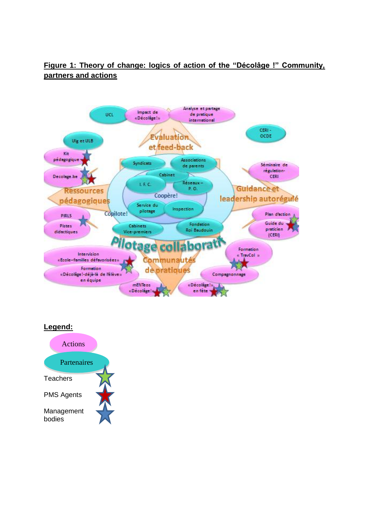# **Figure 1: Theory of change: logics of action of the "Décolâge !" Community, partners and actions**



#### **Legend:**

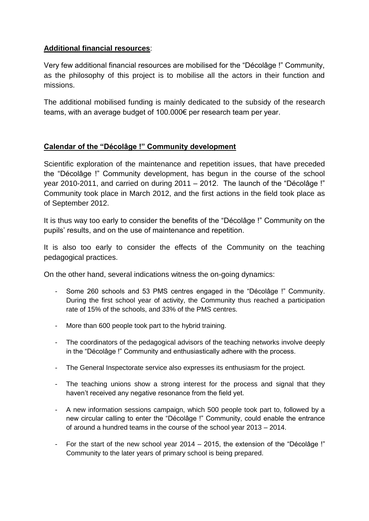# **Additional financial resources**:

Very few additional financial resources are mobilised for the "Décolâge !" Community, as the philosophy of this project is to mobilise all the actors in their function and missions.

The additional mobilised funding is mainly dedicated to the subsidy of the research teams, with an average budget of 100.000€ per research team per year.

## **Calendar of the "Décolâge !" Community development**

Scientific exploration of the maintenance and repetition issues, that have preceded the "Décolâge !" Community development, has begun in the course of the school year 2010-2011, and carried on during 2011 – 2012. The launch of the "Décolâge !" Community took place in March 2012, and the first actions in the field took place as of September 2012.

It is thus way too early to consider the benefits of the "Décolâge !" Community on the pupils' results, and on the use of maintenance and repetition.

It is also too early to consider the effects of the Community on the teaching pedagogical practices.

On the other hand, several indications witness the on-going dynamics:

- Some 260 schools and 53 PMS centres engaged in the "Décolâge !" Community. During the first school year of activity, the Community thus reached a participation rate of 15% of the schools, and 33% of the PMS centres.
- More than 600 people took part to the hybrid training.
- The coordinators of the pedagogical advisors of the teaching networks involve deeply in the "Décolâge !" Community and enthusiastically adhere with the process.
- The General Inspectorate service also expresses its enthusiasm for the project.
- The teaching unions show a strong interest for the process and signal that they haven't received any negative resonance from the field yet.
- A new information sessions campaign, which 500 people took part to, followed by a new circular calling to enter the "Décolâge !" Community, could enable the entrance of around a hundred teams in the course of the school year 2013 – 2014.
- For the start of the new school year 2014 2015, the extension of the "Décolâge !" Community to the later years of primary school is being prepared.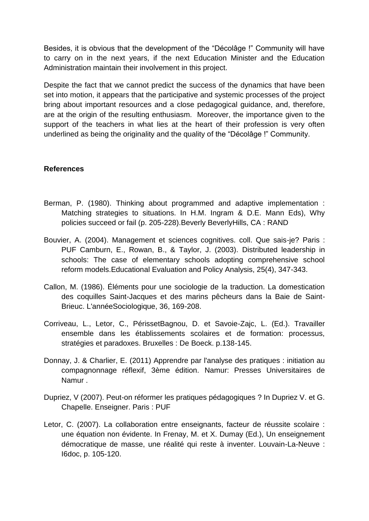Besides, it is obvious that the development of the "Décolâge !" Community will have to carry on in the next years, if the next Education Minister and the Education Administration maintain their involvement in this project.

Despite the fact that we cannot predict the success of the dynamics that have been set into motion, it appears that the participative and systemic processes of the project bring about important resources and a close pedagogical guidance, and, therefore, are at the origin of the resulting enthusiasm. Moreover, the importance given to the support of the teachers in what lies at the heart of their profession is very often underlined as being the originality and the quality of the "Décolâge !" Community.

### **References**

- Berman, P. (1980). Thinking about programmed and adaptive implementation : Matching strategies to situations. In H.M. Ingram & D.E. Mann Eds), Why policies succeed or fail (p. 205-228).Beverly BeverlyHills, CA : RAND
- Bouvier, A. (2004). Management et sciences cognitives. coll. Que sais-je? Paris : PUF Camburn, E., Rowan, B., & Taylor, J. (2003). Distributed leadership in schools: The case of elementary schools adopting comprehensive school reform models.Educational Evaluation and Policy Analysis, 25(4), 347-343.
- Callon, M. (1986). Éléments pour une sociologie de la traduction. La domestication des coquilles Saint-Jacques et des marins pêcheurs dans la Baie de Saint-Brieuc. L'annéeSociologique, 36, 169-208.
- Corriveau, L., Letor, C., PérissetBagnou, D. et Savoie-Zajc, L. (Ed.). Travailler ensemble dans les établissements scolaires et de formation: processus, stratégies et paradoxes. Bruxelles : De Boeck. p.138-145.
- Donnay, J. & Charlier, E. (2011) Apprendre par l'analyse des pratiques : initiation au compagnonnage réflexif, 3ème édition. Namur: Presses Universitaires de Namur .
- Dupriez, V (2007). Peut-on réformer les pratiques pédagogiques ? In Dupriez V. et G. Chapelle. Enseigner. Paris : PUF
- Letor, C. (2007). La collaboration entre enseignants, facteur de réussite scolaire : une équation non évidente. In Frenay, M. et X. Dumay (Ed.), Un enseignement démocratique de masse, une réalité qui reste à inventer. Louvain-La-Neuve : I6doc, p. 105-120.